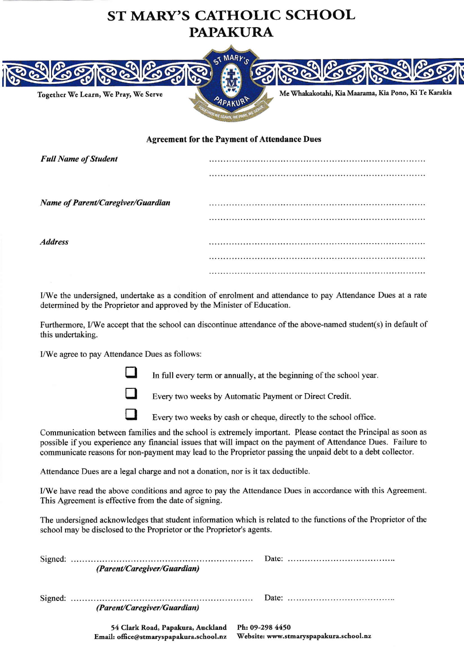## ST MARY'S CATHOLIC SCHOOL **PAPAKURA**



## Agreement for the Payment of Attendance Dues

| <b>Full Name of Student</b>       |  |
|-----------------------------------|--|
|                                   |  |
|                                   |  |
| Name of Parent/Caregiver/Guardian |  |
|                                   |  |
|                                   |  |
| <i><b>Address</b></i>             |  |
|                                   |  |
|                                   |  |

I/We the undersigned, undertake as a condition of enrolment and attendance to pay Attendance Dues at a rate determined by the Proprietor and approved by the Minister of Education.

Furthermore, I/We accept that the school can discontinue attendance of the above-named student(s) in default of this undertaking.

I/We agree to pay Attendance Dues as follows:

 $\Box$ 

In full every term or annually, at the beginning of the school year.



Every two weeks by Automatic Payment or Direct Credit.

 $\Box$ 

Every two weeks by cash or cheque, directly to the school office.

Communication between families and the school is extremely important. Please contact the Principal as soon as possible ifyou experience any financial issues that will impact on the payment of Attendance Dues. Failure to communicate reasons for non-payment may lead to the Proprietor passing the unpaid debt to a debt collector.

Attendance Dues are a legal charge and not a donation, nor is it tax deductible.

I/We have read the above conditions and agree to pay the Attendance Dues in accordance with this Agreement. This Agreement is effective from the date of signing.

The undersigned acknowledges that student information which is related to the functions ofthe Proprietor of the school may be disclosed to the Proprietor or the Proprietor's agents.

| (Parent/Caregiver/Guardian)                                                  | Date: $\ldots \ldots \ldots \ldots \ldots \ldots \ldots \ldots \ldots \ldots \ldots$ |
|------------------------------------------------------------------------------|--------------------------------------------------------------------------------------|
| (Parent/Caregiver/Guardian)                                                  |                                                                                      |
| 54 Clark Road, Papakura, Auckland<br>Email: office@stmaryspapakura.school.nz | Ph: 09-298 4450<br>Website: www.stmaryspapakura.school.nz                            |